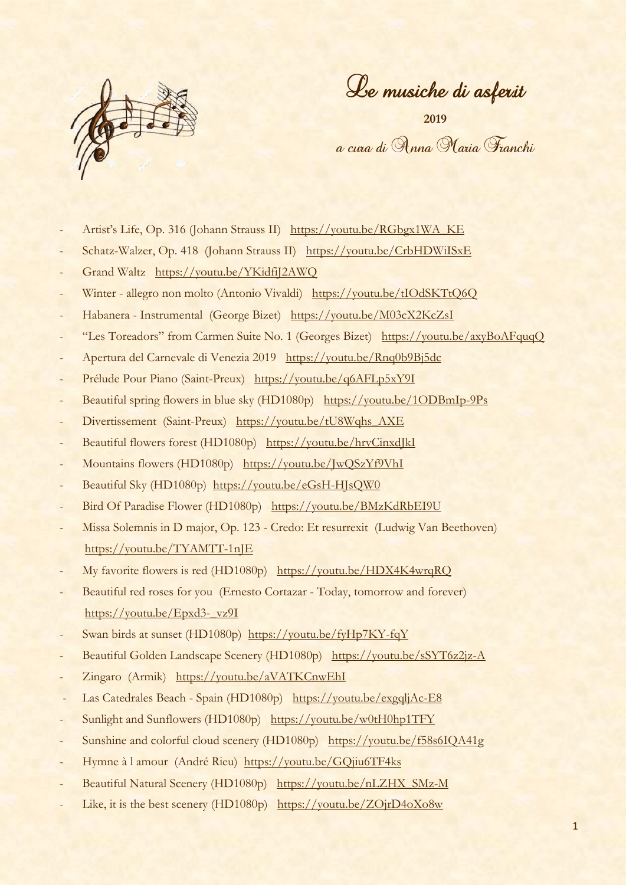

Le musiche di asfer.it

**2019** a cura di Anna Maria Franchi

- Artist's Life, Op. 316 (Johann Strauss II) [https://youtu.be/RGbgx1WA\\_KE](https://youtu.be/RGbgx1WA_KE)
- Schatz-Walzer, Op. 418 (Johann Strauss II) <https://youtu.be/CrbHDWiISxE>
- Grand Waltz <https://youtu.be/YKidfiJ2AWQ>
- Winter allegro non molto (Antonio Vivaldi) <https://youtu.be/tIOdSKTtQ6Q>
- Habanera Instrumental (George Bizet) <https://youtu.be/M03cX2KcZsI>
- "Les Toreadors" from Carmen Suite No. 1 (Georges Bizet) <https://youtu.be/axyBoAFquqQ>
- Apertura del Carnevale di Venezia 2019 <https://youtu.be/Rnq0b9Bj5dc>
- Prélude Pour Piano (Saint-Preux) <https://youtu.be/q6AFLp5xY9I>
- Beautiful spring flowers in blue sky (HD1080p) <https://youtu.be/1ODBmIp-9Ps>
- Divertissement (Saint-Preux) [https://youtu.be/tU8Wqhs\\_AXE](https://youtu.be/tU8Wqhs_AXE)
- Beautiful flowers forest (HD1080p) <https://youtu.be/hrvCinxdJkI>
- Mountains flowers (HD1080p) <https://youtu.be/JwQSzYf9VhI>
- Beautiful Sky (HD1080p) <https://youtu.be/eGsH-HJsQW0>
- Bird Of Paradise Flower (HD1080p) <https://youtu.be/BMzKdRbEI9U>
- Missa Solemnis in D major, Op. 123 Credo: Et resurrexit (Ludwig Van Beethoven) <https://youtu.be/TYAMTT-1nJE>
- My favorite flowers is red (HD1080p) <https://youtu.be/HDX4K4wrqRQ>
- Beautiful red roses for you (Ernesto Cortazar Today, tomorrow and forever) [https://youtu.be/Epxd3-\\_vz9I](https://youtu.be/Epxd3-_vz9I)
- Swan birds at sunset (HD1080p) <https://youtu.be/fyHp7KY-fqY>
- Beautiful Golden Landscape Scenery (HD1080p) <https://youtu.be/sSYT6z2jz-A>
- Zingaro (Armik) <https://youtu.be/aVATKCnwEhI>
- Las Catedrales Beach Spain (HD1080p) https://voutu.be/exgqljAc-E8
- Sunlight and Sunflowers (HD1080p) <https://youtu.be/w0tH0hp1TFY>
- Sunshine and colorful cloud scenery (HD1080p) <https://youtu.be/f58s6IQA41g>
- Hymne à l amour (André Rieu) <https://youtu.be/GQjiu6TF4ks>
- Beautiful Natural Scenery (HD1080p) [https://youtu.be/nLZHX\\_SMz-M](https://youtu.be/nLZHX_SMz-M)
- Like, it is the best scenery (HD1080p) <https://youtu.be/ZOjrD4oXo8w>